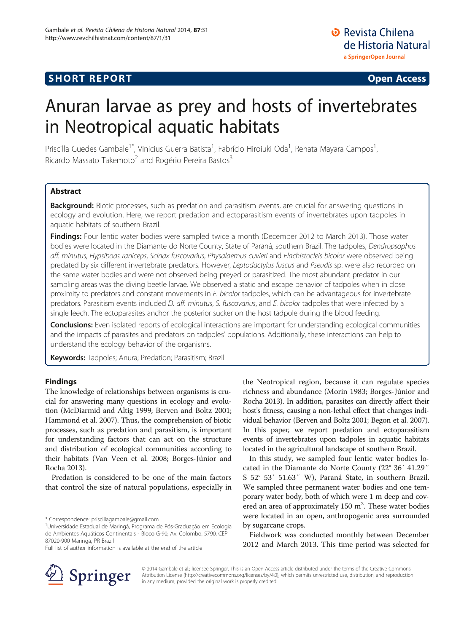# **SHORT REPORT SHORT CONSUMING THE CONSUMING THE CONSUMING THE CONSUMING THE CONSUMING THE CONSUMING THE CONSUMING THE CONSUMING THE CONSUMING THE CONSUMING THE CONSUMING THE CONSUMING THE CONSUMING THE CONSUMING THE CO**

# Anuran larvae as prey and hosts of invertebrates in Neotropical aquatic habitats

Priscilla Guedes Gambale<sup>1\*</sup>, Vinicius Guerra Batista<sup>1</sup>, Fabrício Hiroiuki Oda<sup>1</sup>, Renata Mayara Campos<sup>1</sup> , Ricardo Massato Takemoto<sup>2</sup> and Rogério Pereira Bastos<sup>3</sup>

## Abstract

Background: Biotic processes, such as predation and parasitism events, are crucial for answering questions in ecology and evolution. Here, we report predation and ectoparasitism events of invertebrates upon tadpoles in aquatic habitats of southern Brazil.

Findings: Four lentic water bodies were sampled twice a month (December 2012 to March 2013). Those water bodies were located in the Diamante do Norte County, State of Paraná, southern Brazil. The tadpoles, Dendropsophus aff. minutus, Hypsiboas raniceps, Scinax fuscovarius, Physalaemus cuvieri and Elachistocleis bicolor were observed being predated by six different invertebrate predators. However, Leptodactylus fuscus and Pseudis sp. were also recorded on the same water bodies and were not observed being preyed or parasitized. The most abundant predator in our sampling areas was the diving beetle larvae. We observed a static and escape behavior of tadpoles when in close proximity to predators and constant movements in E. bicolor tadpoles, which can be advantageous for invertebrate predators. Parasitism events included D. aff. minutus, S. fuscovarius, and E. bicolor tadpoles that were infected by a single leech. The ectoparasites anchor the posterior sucker on the host tadpole during the blood feeding.

Conclusions: Even isolated reports of ecological interactions are important for understanding ecological communities and the impacts of parasites and predators on tadpoles' populations. Additionally, these interactions can help to understand the ecology behavior of the organisms.

Keywords: Tadpoles; Anura; Predation; Parasitism; Brazil

### Findings

The knowledge of relationships between organisms is crucial for answering many questions in ecology and evolution (McDiarmid and Altig [1999;](#page-3-0) Berven and Boltz [2001](#page-3-0); Hammond et al. [2007\)](#page-3-0). Thus, the comprehension of biotic processes, such as predation and parasitism, is important for understanding factors that can act on the structure and distribution of ecological communities according to their habitats (Van Veen et al. [2008](#page-4-0); Borges-Júnior and Rocha [2013](#page-3-0)).

Predation is considered to be one of the main factors that control the size of natural populations, especially in

\* Correspondence: [priscillagambale@gmail.com](mailto:priscillagambale@gmail.com) <sup>1</sup>



In this study, we sampled four lentic water bodies located in the Diamante do Norte County (22° 36′ 41.29″ S 52° 53′ 51.63″ W), Paraná State, in southern Brazil. We sampled three permanent water bodies and one temporary water body, both of which were 1 m deep and covered an area of approximately  $150 \text{ m}^2$ . These water bodies were located in an open, anthropogenic area surrounded by sugarcane crops.

Fieldwork was conducted monthly between December 2012 and March 2013. This time period was selected for



© 2014 Gambale et al.; licensee Springer. This is an Open Access article distributed under the terms of the Creative Commons Attribution License [\(http://creativecommons.org/licenses/by/4.0\)](http://creativecommons.org/licenses/by/4.0), which permits unrestricted use, distribution, and reproduction in any medium, provided the original work is properly credited.

Universidade Estadual de Maringá, Programa de Pós-Graduação em Ecologia de Ambientes Aquáticos Continentais - Bloco G-90, Av. Colombo, 5790, CEP 87020-900 Maringá, PR Brazil

Full list of author information is available at the end of the article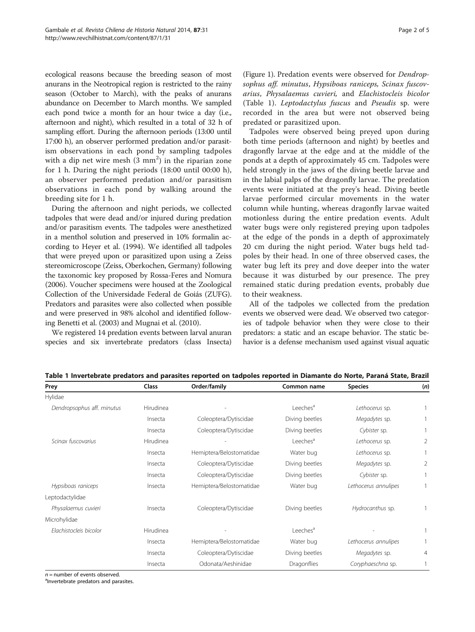<span id="page-1-0"></span>ecological reasons because the breeding season of most anurans in the Neotropical region is restricted to the rainy season (October to March), with the peaks of anurans abundance on December to March months. We sampled each pond twice a month for an hour twice a day (i.e., afternoon and night), which resulted in a total of 32 h of sampling effort. During the afternoon periods (13:00 until 17:00 h), an observer performed predation and/or parasitism observations in each pond by sampling tadpoles with a dip net wire mesh  $(3 \text{ mm}^2)$  in the riparian zone for 1 h. During the night periods (18:00 until 00:00 h), an observer performed predation and/or parasitism observations in each pond by walking around the breeding site for 1 h.

During the afternoon and night periods, we collected tadpoles that were dead and/or injured during predation and/or parasitism events. The tadpoles were anesthetized in a menthol solution and preserved in 10% formalin according to Heyer et al. [\(1994](#page-3-0)). We identified all tadpoles that were preyed upon or parasitized upon using a Zeiss stereomicroscope (Zeiss, Oberkochen, Germany) following the taxonomic key proposed by Rossa-Feres and Nomura ([2006\)](#page-4-0). Voucher specimens were housed at the Zoological Collection of the Universidade Federal de Goiás (ZUFG). Predators and parasites were also collected when possible and were preserved in 98% alcohol and identified following Benetti et al. [\(2003](#page-3-0)) and Mugnai et al. ([2010\)](#page-3-0).

We registered 14 predation events between larval anuran species and six invertebrate predators (class Insecta)

(Figure [1\)](#page-2-0). Predation events were observed for Dendropsophus aff. minutus, Hypsiboas raniceps, Scinax fuscovarius, Physalaemus cuvieri, and Elachistocleis bicolor (Table 1). Leptodactylus fuscus and Pseudis sp. were recorded in the area but were not observed being predated or parasitized upon.

Tadpoles were observed being preyed upon during both time periods (afternoon and night) by beetles and dragonfly larvae at the edge and at the middle of the ponds at a depth of approximately 45 cm. Tadpoles were held strongly in the jaws of the diving beetle larvae and in the labial palps of the dragonfly larvae. The predation events were initiated at the prey's head. Diving beetle larvae performed circular movements in the water column while hunting, whereas dragonfly larvae waited motionless during the entire predation events. Adult water bugs were only registered preying upon tadpoles at the edge of the ponds in a depth of approximately 20 cm during the night period. Water bugs held tadpoles by their head. In one of three observed cases, the water bug left its prey and dove deeper into the water because it was disturbed by our presence. The prey remained static during predation events, probably due to their weakness.

All of the tadpoles we collected from the predation events we observed were dead. We observed two categories of tadpole behavior when they were close to their predators: a static and an escape behavior. The static behavior is a defense mechanism used against visual aquatic

| Prey                       | Class     | Order/family             | Common name          | <b>Species</b>       | (n)            |
|----------------------------|-----------|--------------------------|----------------------|----------------------|----------------|
| Hylidae                    |           |                          |                      |                      |                |
| Dendropsophus aff. minutus | Hirudinea |                          | Leeches <sup>a</sup> | Lethocerus sp.       |                |
|                            | Insecta   | Coleoptera/Dytiscidae    | Diving beetles       | Megadytes sp.        |                |
|                            | Insecta   | Coleoptera/Dytiscidae    | Diving beetles       | Cybister sp.         |                |
| Scinax fuscovarius         | Hirudinea |                          | Leeches <sup>a</sup> | Lethocerus sp.       | 2              |
|                            | Insecta   | Hemiptera/Belostomatidae | Water bug            | Lethocerus sp.       |                |
|                            | Insecta   | Coleoptera/Dytiscidae    | Diving beetles       | Megadytes sp.        | $\overline{2}$ |
|                            | Insecta   | Coleoptera/Dytiscidae    | Diving beetles       | Cybister sp.         |                |
| Hypsiboas raniceps         | Insecta   | Hemiptera/Belostomatidae | Water bug            | Lethocerus annulipes |                |
| Leptodactylidae            |           |                          |                      |                      |                |
| Physalaemus cuvieri        | Insecta   | Coleoptera/Dytiscidae    | Diving beetles       | Hydrocanthus sp.     |                |
| Microhylidae               |           |                          |                      |                      |                |
| Elachistocleis bicolor     | Hirudinea |                          | Leeches <sup>a</sup> |                      |                |
|                            | Insecta   | Hemiptera/Belostomatidae | Water bug            | Lethocerus annulipes |                |
|                            | Insecta   | Coleoptera/Dytiscidae    | Diving beetles       | Megadytes sp.        | $\overline{4}$ |
|                            | Insecta   | Odonata/Aeshinidae       | Dragonflies          | Coryphaeschna sp.    |                |

Table 1 Invertebrate predators and parasites reported on tadpoles reported in Diamante do Norte, Paraná State, Brazil

 $n =$  number of events observed.

<sup>a</sup>lnvertebrate predators and parasites.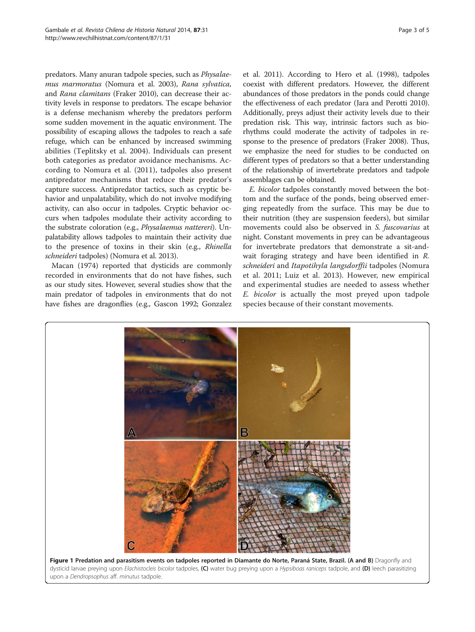<span id="page-2-0"></span>predators. Many anuran tadpole species, such as Physalaemus marmoratus (Nomura et al. [2003\)](#page-3-0), Rana sylvatica, and Rana clamitans (Fraker [2010](#page-3-0)), can decrease their activity levels in response to predators. The escape behavior is a defense mechanism whereby the predators perform some sudden movement in the aquatic environment. The possibility of escaping allows the tadpoles to reach a safe refuge, which can be enhanced by increased swimming abilities (Teplitsky et al. [2004\)](#page-4-0). Individuals can present both categories as predator avoidance mechanisms. According to Nomura et al. ([2011\)](#page-3-0), tadpoles also present antipredator mechanisms that reduce their predator's capture success. Antipredator tactics, such as cryptic behavior and unpalatability, which do not involve modifying activity, can also occur in tadpoles. Cryptic behavior occurs when tadpoles modulate their activity according to the substrate coloration (e.g., Physalaemus nattereri). Unpalatability allows tadpoles to maintain their activity due to the presence of toxins in their skin (e.g., Rhinella schneideri tadpoles) (Nomura et al. [2013](#page-3-0)).

Macan ([1974](#page-3-0)) reported that dysticids are commonly recorded in environments that do not have fishes, such as our study sites. However, several studies show that the main predator of tadpoles in environments that do not have fishes are dragonflies (e.g., Gascon [1992;](#page-3-0) Gonzalez et al. [2011](#page-3-0)). According to Hero et al. ([1998](#page-3-0)), tadpoles coexist with different predators. However, the different abundances of those predators in the ponds could change the effectiveness of each predator (Jara and Perotti [2010](#page-3-0)). Additionally, preys adjust their activity levels due to their predation risk. This way, intrinsic factors such as biorhythms could moderate the activity of tadpoles in response to the presence of predators (Fraker [2008\)](#page-3-0). Thus, we emphasize the need for studies to be conducted on different types of predators so that a better understanding of the relationship of invertebrate predators and tadpole assemblages can be obtained.

E. bicolor tadpoles constantly moved between the bottom and the surface of the ponds, being observed emerging repeatedly from the surface. This may be due to their nutrition (they are suspension feeders), but similar movements could also be observed in S. fuscovarius at night. Constant movements in prey can be advantageous for invertebrate predators that demonstrate a sit-andwait foraging strategy and have been identified in R. schneideri and Itapotihyla langsdorffii tadpoles (Nomura et al. [2011;](#page-3-0) Luiz et al. [2013\)](#page-3-0). However, new empirical and experimental studies are needed to assess whether E. bicolor is actually the most preyed upon tadpole species because of their constant movements.



upon a Dendropsophus aff. minutus tadpole.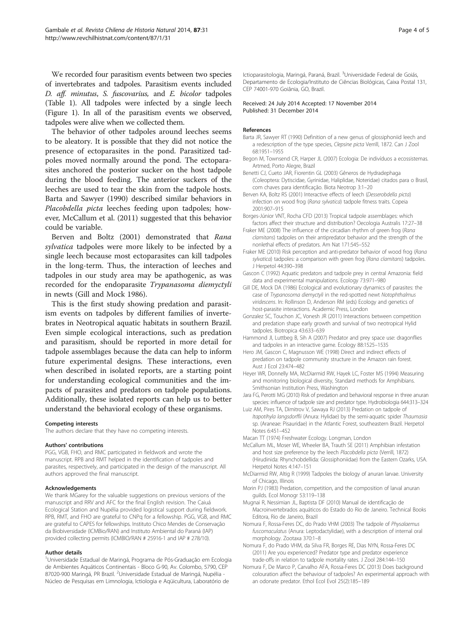<span id="page-3-0"></span>We recorded four parasitism events between two species of invertebrates and tadpoles. Parasitism events included D. aff. minutus, S. fuscovarius, and E. bicolor tadpoles (Table [1](#page-1-0)). All tadpoles were infected by a single leech (Figure [1](#page-2-0)). In all of the parasitism events we observed, tadpoles were alive when we collected them.

The behavior of other tadpoles around leeches seems to be aleatory. It is possible that they did not notice the presence of ectoparasites in the pond. Parasitized tadpoles moved normally around the pond. The ectoparasites anchored the posterior sucker on the host tadpole during the blood feeding. The anterior suckers of the leeches are used to tear the skin from the tadpole hosts. Barta and Sawyer (1990) described similar behaviors in Placobdella picta leeches feeding upon tadpoles; however, McCallum et al. (2011) suggested that this behavior could be variable.

Berven and Boltz (2001) demonstrated that Rana sylvatica tadpoles were more likely to be infected by a single leech because most ectoparasites can kill tadpoles in the long-term. Thus, the interaction of leeches and tadpoles in our study area may be apathogenic, as was recorded for the endoparasite Trypanasoma diemyctyli in newts (Gill and Mock 1986).

This is the first study showing predation and parasitism events on tadpoles by different families of invertebrates in Neotropical aquatic habitats in southern Brazil. Even simple ecological interactions, such as predation and parasitism, should be reported in more detail for tadpole assemblages because the data can help to inform future experimental designs. These interactions, even when described in isolated reports, are a starting point for understanding ecological communities and the impacts of parasites and predators on tadpole populations. Additionally, these isolated reports can help us to better understand the behavioral ecology of these organisms.

#### Competing interests

The authors declare that they have no competing interests.

#### Authors' contributions

PGG, VGB, FHO, and RMC participated in fieldwork and wrote the manuscript. RPB and RMT helped in the identification of tadpoles and parasites, respectively, and participated in the design of the manuscript. All authors approved the final manuscript.

#### Acknowledgements

We thank MGarey for the valuable suggestions on previous versions of the manuscript and RRV and AFC for the final English revision. The Caiuá Ecological Station and Nupélia provided logistical support during fieldwork. RPB, RMT, and FHO are grateful to CNPq for a fellowship. PGG, VGB, and RMC are grateful to CAPES for fellowships. Instituto Chico Mendes de Conservação da Biobiversidade (ICMBio/RAN) and Instituto Ambiental do Paraná (IAP) provided collecting permits (ICMBIO/RAN # 25916-1 and IAP # 278/10).

#### Author details

<sup>1</sup>Universidade Estadual de Maringá, Programa de Pós-Graduação em Ecologia de Ambientes Aquáticos Continentais - Bloco G-90, Av. Colombo, 5790, CEP 87020-900 Maringá, PR Brazil. <sup>2</sup>Universidade Estadual de Maringá, Nupélia -Núcleo de Pesquisas em Limnologia, Ictiologia e Aqüicultura, Laboratório de

Ictioparasitologia, Maringá, Paraná, Brazil. <sup>3</sup>Universidade Federal de Goiás, Departamento de Ecologia/Instituto de Ciências Biológicas, Caixa Postal 131, CEP 74001-970 Goiânia, GO, Brazil.

#### Received: 24 July 2014 Accepted: 17 November 2014 Published: 31 December 2014

#### References

- Barta JR, Sawyer RT (1990) Definition of a new genus of glossiphoniid leech and a redescription of the type species, Clepsine picta Verrill, 1872. Can J Zool 68:1951–1955
- Begon M, Townsend CR, Harper JL (2007) Ecologia: De indivíduos a ecossistemas. Artmed, Porto Alegre, Brazil
- Benetti CJ, Cueto JAR, Fiorentin GL (2003) Gêneros de Hydradephaga (Coleoptera: Dytiscidae, Gyrinidae, Haliplidae, Noteridae) citados para o Brasil, com chaves para identificação. Biota Neotrop 3:1–20
- Berven KA, Boltz RS (2001) Interactive effects of leech (Desserobdella picta) infection on wood frog (Rana sylvatica) tadpole fitness traits. Copeia 2001:907–915
- Borges-Júnior VNT, Rocha CFD (2013) Tropical tadpole assemblages: which factors affect their structure and distribution? Oecologia Australis 17:27–38
- Fraker ME (2008) The influence of the circadian rhythm of green frog (Rana clamitans) tadpoles on their antipredator behavior and the strength of the nonlethal effects of predators. Am Nat 171:545–552
- Fraker ME (2010) Risk perception and anti-predator behavior of wood frog (Rana sylvatica) tadpoles: a comparison with green frog (Rana clamitans) tadpoles. J Herpetol 44:390–398
- Gascon C (1992) Aquatic predators and tadpole prey in central Amazonia: field data and experimental manipulations. Ecology 73:971–980
- Gill DE, Mock DA (1986) Ecological and evolutionary dynamics of parasites: the case of Trypanosoma diemyctyli in the red-spotted newt Notophthalmus viridescens. In: Rollinson D, Anderson RM (eds) Ecology and genetics of host-parasite interactions. Academic Press, London
- Gonzalez SC, Touchon JC, Vonesh JR (2011) Interactions between competition and predation shape early growth and survival of two neotropical Hylid tadpoles. Biotropica 43:633–639
- Hammond JI, Luttbeg B, Sih A (2007) Predator and prey space use: dragonflies and tadpoles in an interactive game. Ecology 88:1525–1535
- Hero JM, Gascon C, Magnusson WE (1998) Direct and indirect effects of predation on tadpole community structure in the Amazon rain forest. Aust J Ecol 23:474–482
- Heyer WR, Donnelly MA, McDiarmid RW, Hayek LC, Foster MS (1994) Measuring and monitoring biological diversity, Standard methods for Amphibians. Smithsonian Institution Press, Washington
- Jara FG, Perotti MG (2010) Risk of predation and behavioral response in three anuran species: influence of tadpole size and predator type. Hydrobiologia 644:313–324
- Luiz AM, Pires TA, Dimitrov V, Sawaya RJ (2013) Predation on tadpole of Itapotihyla langsdorffii (Anura: Hylidae) by the semi-aquatic spider Thaumasia sp. (Araneae: Pisauridae) in the Atlantic Forest, southeastern Brazil. Herpetol Notes 6:451–452
- Macan TT (1974) Freshwater Ecology. Longman, London
- McCallum ML, Moser WE, Wheeler BA, Trauth SE (2011) Amphibian infestation and host size preference by the leech Placobdella picta (Verrill, 1872) (Hirudinida: Rhynchobdellida: Glossiphoniidae) from the Eastern Ozarks, USA. Herpetol Notes 4:147–151
- McDiarmid RW, Altig R (1999) Tadpoles the biology of anuran larvae. University of Chicago, Illinois
- Morin PJ (1983) Predation, competition, and the composition of larval anuran guilds. Ecol Monogr 53:119–138
- Mugnai R, Nessimian JL, Baptista DF (2010) Manual de identificação de Macroinvertebrados aquáticos do Estado do Rio de Janeiro. Technical Books Editora, Rio de Janeiro, Brazil
- Nomura F, Rossa-Feres DC, do Prado VHM (2003) The tadpole of Physalaemus fuscomaculatus (Anura: Leptodactylidae), with a description of internal oral morphology. Zootaxa 370:1–8
- Nomura F, do Prado VHM, da Silva FR, Borges RE, Dias NYN, Rossa-Feres DC (2011) Are you experienced? Predator type and predator experience trade-offs in relation to tadpole mortality rates. J Zool 284:144–150
- Nomura F, De Marco P, Carvalho AFA, Rossa-Feres DC (2013) Does background colouration affect the behaviour of tadpoles? An experimental approach with an odonate predator. Ethol Ecol Evol 25(2):185–189